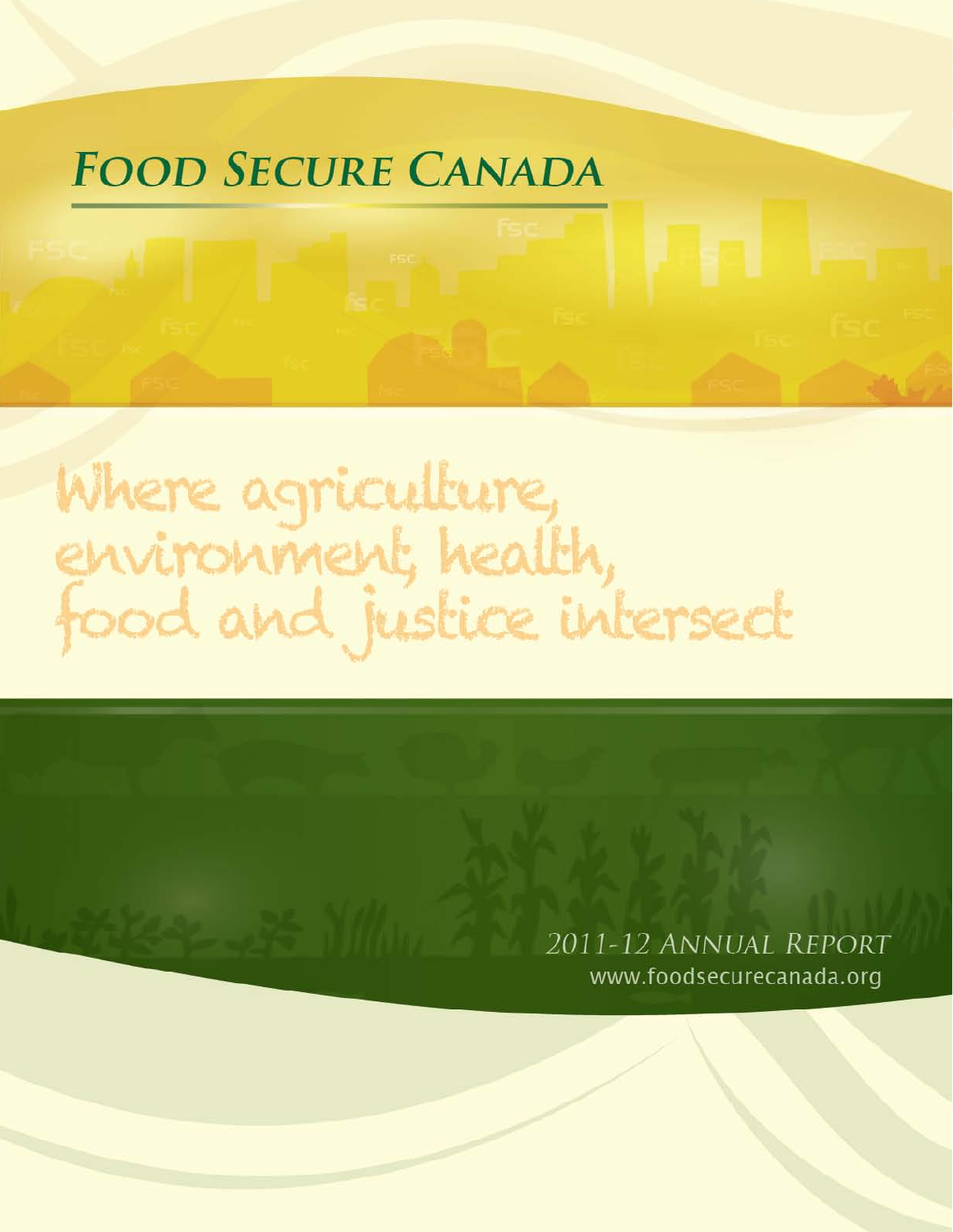# **FOOD SECURE CANADA**

# Where agriculture,<br>environment, health,<br>food and justice intersect

2011-12 ANNUAL REPORT www.foodsecurecanada.org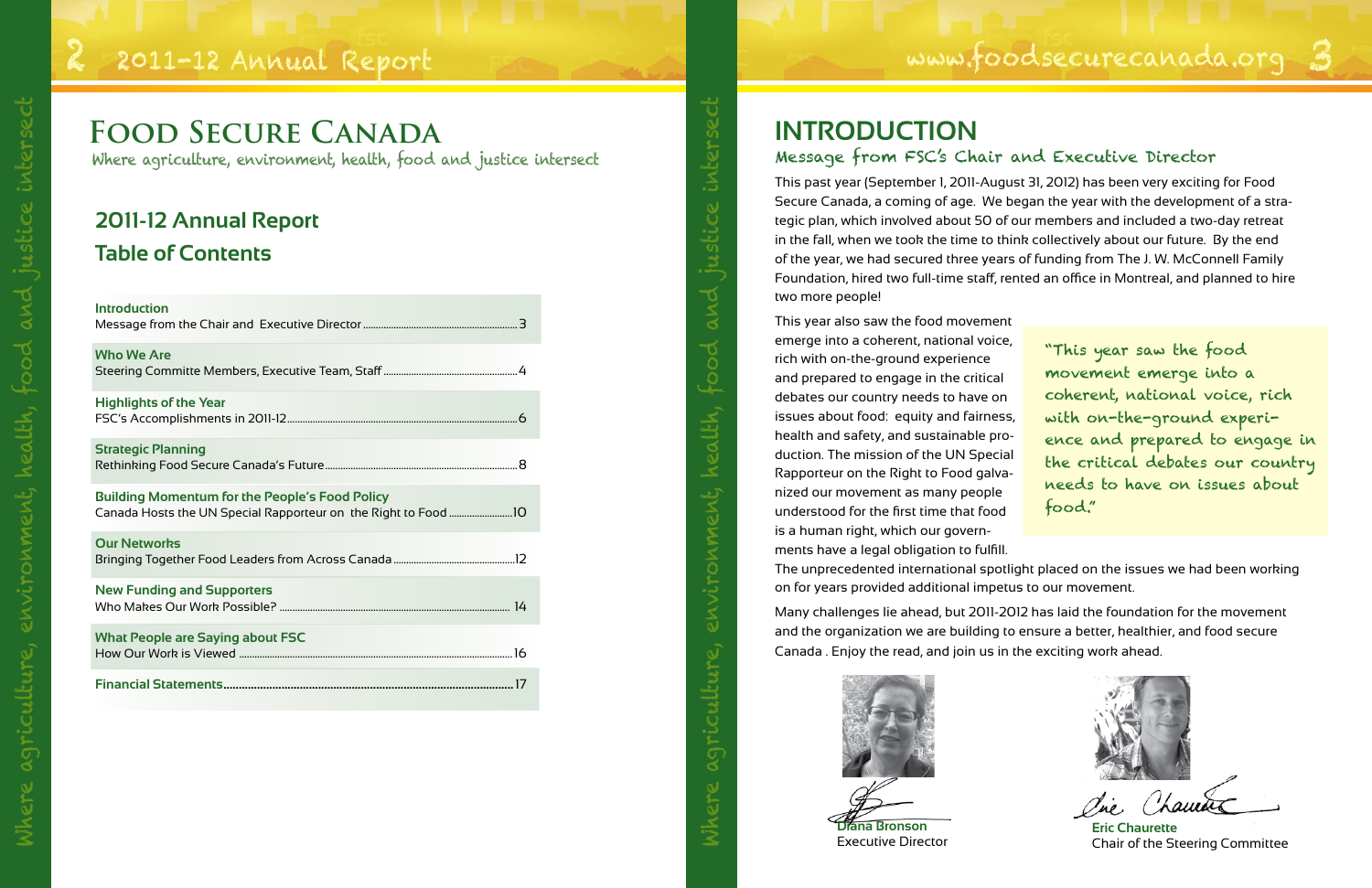# 2 2011-12 Annual Report www.foodsecurecanada.org 3

# **2011-12 Annual Report Table of Contents**

| <b>Introduction</b>                                   |
|-------------------------------------------------------|
| <b>Who We Are</b>                                     |
| <b>Highlights of the Year</b>                         |
| <b>Strategic Planning</b>                             |
| <b>Building Momentum for the People's Food Policy</b> |
| <b>Our Networks</b>                                   |
| <b>New Funding and Supporters</b>                     |
| <b>What People are Saying about FSC</b>               |
|                                                       |

Where agriculture, environment, health, food and justice intersect

This year also saw the food movemen emerge into a coherent, national voice, rich with on-the-ground experience and prepared to engage in the critical debates our country needs to have on issues about food: equity and fairnes health and safety, and sustainable production. The mission of the UN Special Rapporteur on the Right to Food galvanized our movement as many people understood for the first time that food is a human right, which our governments have a legal obligation to fulfill. The unprecedented international spotlight placed on the issues we had been working on for years provided additional impetus to our movement. "This year saw the food movement emerge into a coherent, national voice, rich with on-the-ground experifood."

This past year (September 1, 2011-August 31, 2012) has been very exciting for Food Secure Canada, a coming of age. We began the year with the development of a strategic plan, which involved about 50 of our members and included a two-day retreat in the fall, when we took the time to think collectively about our future. By the end of the year, we had secured three years of funding from The J. W. McConnell Family Foundation, hired two full-time staff, rented an office in Montreal, and planned to hire two more people!

Many challenges lie ahead, but 2011-2012 has laid the foundation for the movement and the organization we are building to ensure a better, healthier, and food secure Canada . Enjoy the read, and join us in the exciting work ahead.

# **INTRODUCTION** Message from FSC's Chair and Executive Director

| t              |                                  |
|----------------|----------------------------------|
| ≧,             | "This year saw the food          |
|                | movement emerge into a           |
|                | coherent, national voice, rich   |
| s,             | with on-the-ground experi-       |
| $\overline{ }$ | ence and prepared to engage in   |
| ۱ı             | the critical debates our country |
| $\vdash$       | needs to have on issues about    |
|                | $\mathsf{food."}$                |

Where agriculture, environment, health, food and justice intersect





**Eric Chaurette** Chair of the Steering Committee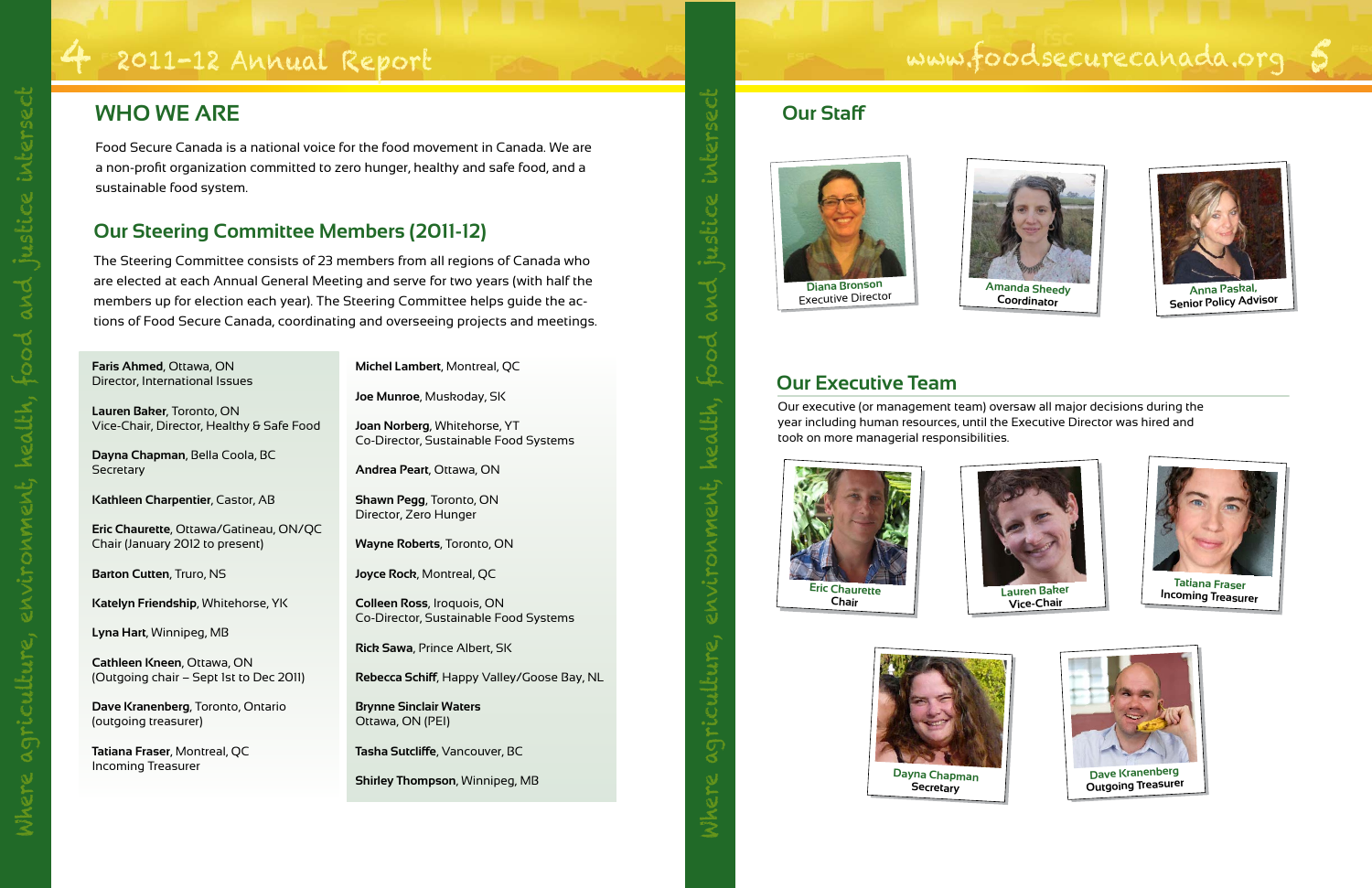Food Secure Canada is a national voice for the food movement in Canada. We are a non-profit organization committed to zero hunger, healthy and safe food, and a sustainable food system.

### **Our Steering Committee Members (2011-12)**

**Dayna Chapman**, Bella Coola, BC **Secretary** 

The Steering Committee consists of 23 members from all regions of Canada who are elected at each Annual General Meeting and serve for two years (with half the members up for election each year). The Steering Committee helps guide the actions of Food Secure Canada, coordinating and overseeing projects and meetings.

# **WHO WE ARE**

**Faris Ahmed**, Ottawa, ON Director, International Issues

**Lauren Baker**, Toronto, ON Vice-Chair, Director, Healthy & Safe Food

**Kathleen Charpentier**, Castor, AB

**Eric Chaurette**, Ottawa/Gatineau, ON/QC Chair (January 2012 to present)

**Barton Cutten**, Truro, NS

**Katelyn Friendship**, Whitehorse, YK

**Lyna Hart**, Winnipeg, MB

**Cathleen Kneen**, Ottawa, ON (Outgoing chair – Sept 1st to Dec 2011)

**Dave Kranenberg**, Toronto, Ontario (outgoing treasurer)

**Tatiana Fraser**, Montreal, QC Incoming Treasurer

**Michel Lambert**, Montreal, QC

**Joe Munroe**, Muskoday, SK

**Joan Norberg**, Whitehorse, YT Co-Director, Sustainable Food Systems

**Andrea Peart**, Ottawa, ON

**Shawn Pegg**, Toronto, ON Director, Zero Hunger

**Wayne Roberts**, Toronto, ON

**Joyce Rock**, Montreal, QC

**Colleen Ross**, Iroquois, ON Co-Director, Sustainable Food Systems

**Rick Sawa**, Prince Albert, SK

**Rebecca Schiff**, Happy Valley/Goose Bay, NL

**Brynne Sinclair Waters** Ottawa, ON (PEI)

**Tasha Sutcliffe**, Vancouver, BC

**Shirley Thompson**, Winnipeg, MB

Our executive (or management team) oversaw all major decisions during the year including human resources, until the Executive Director was hired and took on more managerial responsibilities.

#### **Our Executive Team**



**Diana Bronson** Executive Director **Amanda Sheedy**







#### **Our Staff**















**Dayna Chapman Secretary**

Where agriculture, environment, health, food and justice intersect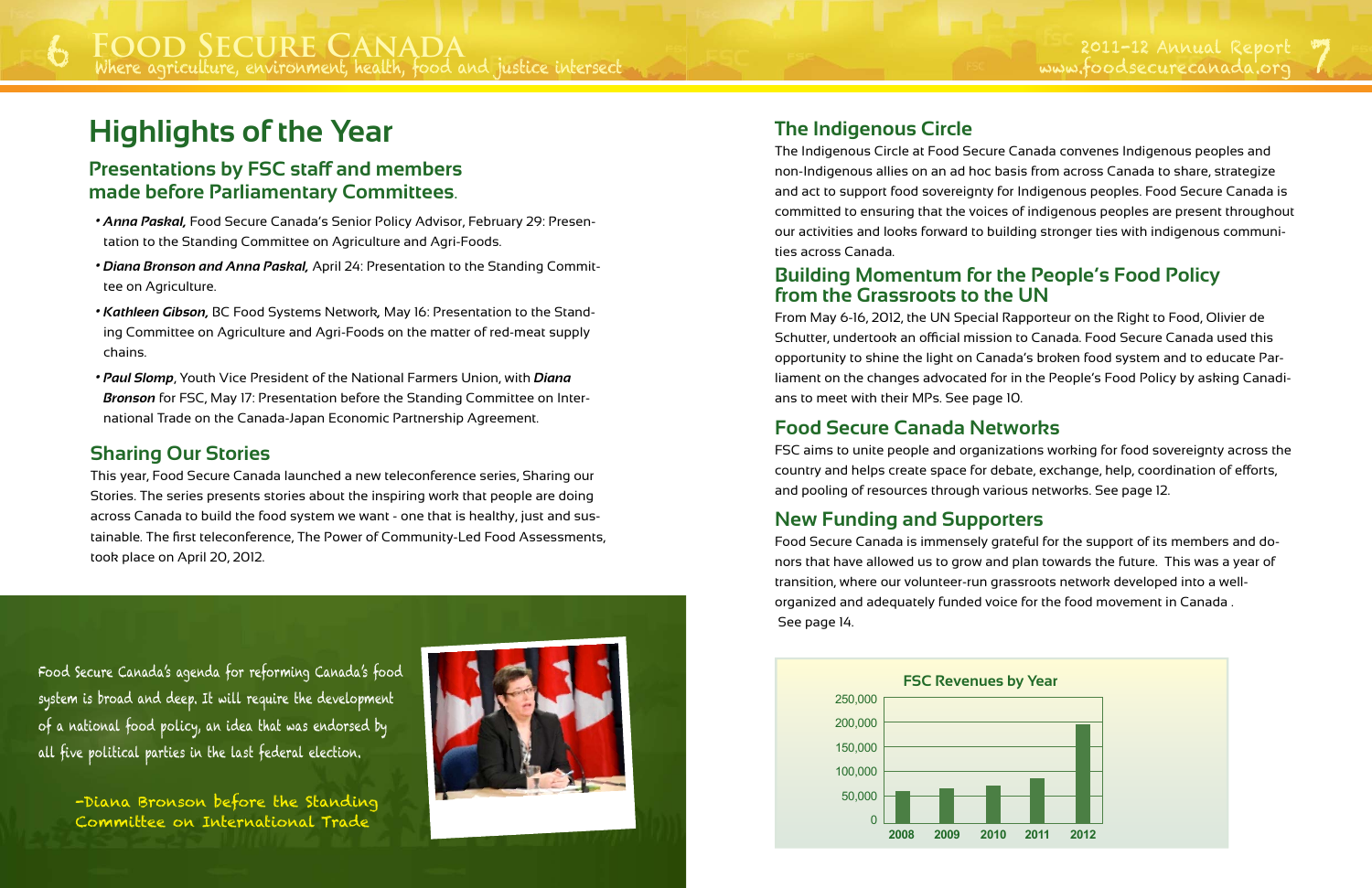# **Highlights of the Year**

#### **Sharing Our Stories**

This year, Food Secure Canada launched a new teleconference series, Sharing our Stories. The series presents stories about the inspiring work that people are doing across Canada to build the food system we want - one that is healthy, just and sustainable. The first teleconference, The Power of Community-Led Food Assessments, took place on April 20, 2012.

- *• Anna Paskal,* Food Secure Canada's Senior Policy Advisor, February 29: Presentation to the Standing Committee on Agriculture and Agri-Foods.
- *• Diana Bronson and Anna Paskal,* April 24: Presentation to the Standing Committee on Agriculture.
- *• Kathleen Gibson,* BC Food Systems Network*,* May 16: Presentation to the Standing Committee on Agriculture and Agri-Foods on the matter of red-meat supply chains.
- *• Paul Slomp*, Youth Vice President of the National Farmers Union, with *Diana Bronson* for FSC, May 17: Presentation before the Standing Committee on International Trade on the Canada-Japan Economic Partnership Agreement.

#### **Presentations by FSC staff and members made before Parliamentary Committees**.

#### **The Indigenous Circle**

The Indigenous Circle at Food Secure Canada convenes Indigenous peoples and non-Indigenous allies on an ad hoc basis from across Canada to share, strategize and act to support food sovereignty for Indigenous peoples. Food Secure Canada is committed to ensuring that the voices of indigenous peoples are present throughout our activities and looks forward to building stronger ties with indigenous communities across Canada.

#### **Building Momentum for the People's Food Policy from the Grassroots to the UN**

From May 6-16, 2012, the UN Special Rapporteur on the Right to Food, Olivier de Schutter, undertook an official mission to Canada. Food Secure Canada used this opportunity to shine the light on Canada's broken food system and to educate Parliament on the changes advocated for in the People's Food Policy by asking Canadians to meet with their MPs. See page 10.

#### **Food Secure Canada Networks**

FSC aims to unite people and organizations working for food sovereignty across the country and helps create space for debate, exchange, help, coordination of efforts, and pooling of resources through various networks. See page 12.

#### **New Funding and Supporters**

Food Secure Canada is immensely grateful for the support of its members and donors that have allowed us to grow and plan towards the future. This was a year of transition, where our volunteer-run grassroots network developed into a wellorganized and adequately funded voice for the food movement in Canada . See page 14.

Food Secure Canada's agenda for reforming Canada's food system is broad and deep. It will require the development of a national food policy, an idea that was endorsed by all five political parties in the last federal election.

-Diana Bronson before the Standing Committee on International Trade



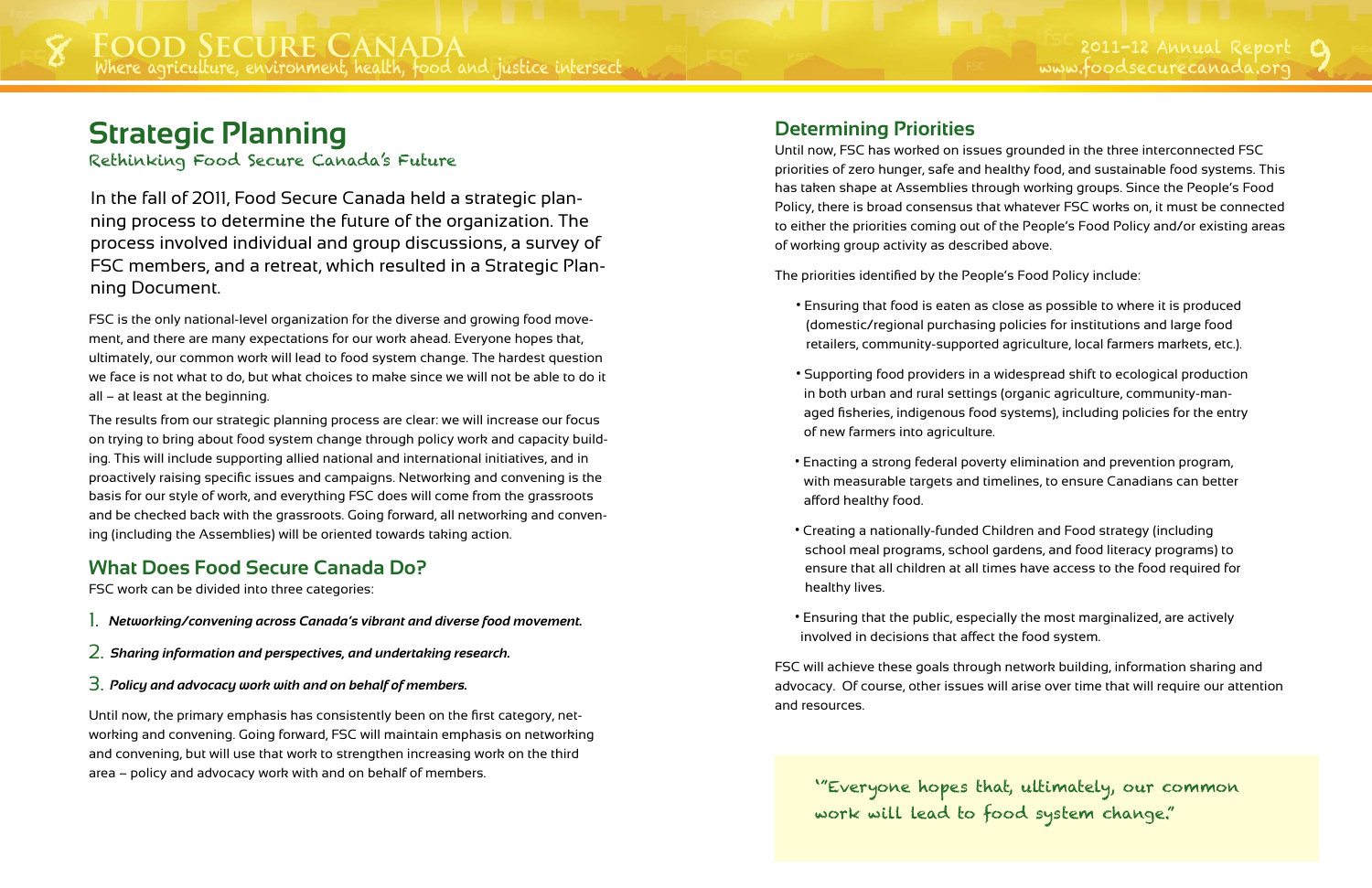FSC is the only national-level organization for the diverse and growing food movement, and there are many expectations for our work ahead. Everyone hopes that, ultimately, our common work will lead to food system change. The hardest question we face is not what to do, but what choices to make since we will not be able to do it all – at least at the beginning.

The results from our strategic planning process are clear: we will increase our focus on trying to bring about food system change through policy work and capacity building. This will include supporting allied national and international initiatives, and in proactively raising specific issues and campaigns. Networking and convening is the basis for our style of work, and everything FSC does will come from the grassroots and be checked back with the grassroots. Going forward, all networking and convening (including the Assemblies) will be oriented towards taking action.

#### **What Does Food Secure Canada Do?**

FSC work can be divided into three categories:

- 1. *Networking/convening across Canada's vibrant and diverse food movement.*
- 2. *Sharing information and perspectives, and undertaking research.*
- 3. *Policy and advocacy work with and on behalf of members.*

Until now, the primary emphasis has consistently been on the first category, networking and convening. Going forward, FSC will maintain emphasis on networking and convening, but will use that work to strengthen increasing work on the third area – policy and advocacy work with and on behalf of members.

In the fall of 2011, Food Secure Canada held a strategic planning process to determine the future of the organization. The process involved individual and group discussions, a survey of FSC members, and a retreat, which resulted in a Strategic Planning Document.

# **Strategic Planning**

Rethinking Food Secure Canada's Future

#### **Determining Priorities**

Until now, FSC has worked on issues grounded in the three interconnected FSC priorities of zero hunger, safe and healthy food, and sustainable food systems. This has taken shape at Assemblies through working groups. Since the People's Food Policy, there is broad consensus that whatever FSC works on, it must be connected to either the priorities coming out of the People's Food Policy and/or existing areas of working group activity as described above.

The priorities identified by the People's Food Policy include:

• Ensuring that food is eaten as close as possible to where it is produced (domestic/regional purchasing policies for institutions and large food retailers, community-supported agriculture, local farmers markets, etc.).

• Supporting food providers in a widespread shift to ecological production in both urban and rural settings (organic agriculture, community-managed fisheries, indigenous food systems), including policies for the entry

• Enacting a strong federal poverty elimination and prevention program, with measurable targets and timelines, to ensure Canadians can better

- 
- of new farmers into agriculture.
- afford healthy food.
- Creating a nationally-funded Children and Food strategy (including healthy lives.
- involved in decisions that affect the food system.

school meal programs, school gardens, and food literacy programs) to ensure that all children at all times have access to the food required for

• Ensuring that the public, especially the most marginalized, are actively

FSC will achieve these goals through network building, information sharing and advocacy. Of course, other issues will arise over time that will require our attention and resources.

'"Everyone hopes that, ultimately, our common work will lead to food system change."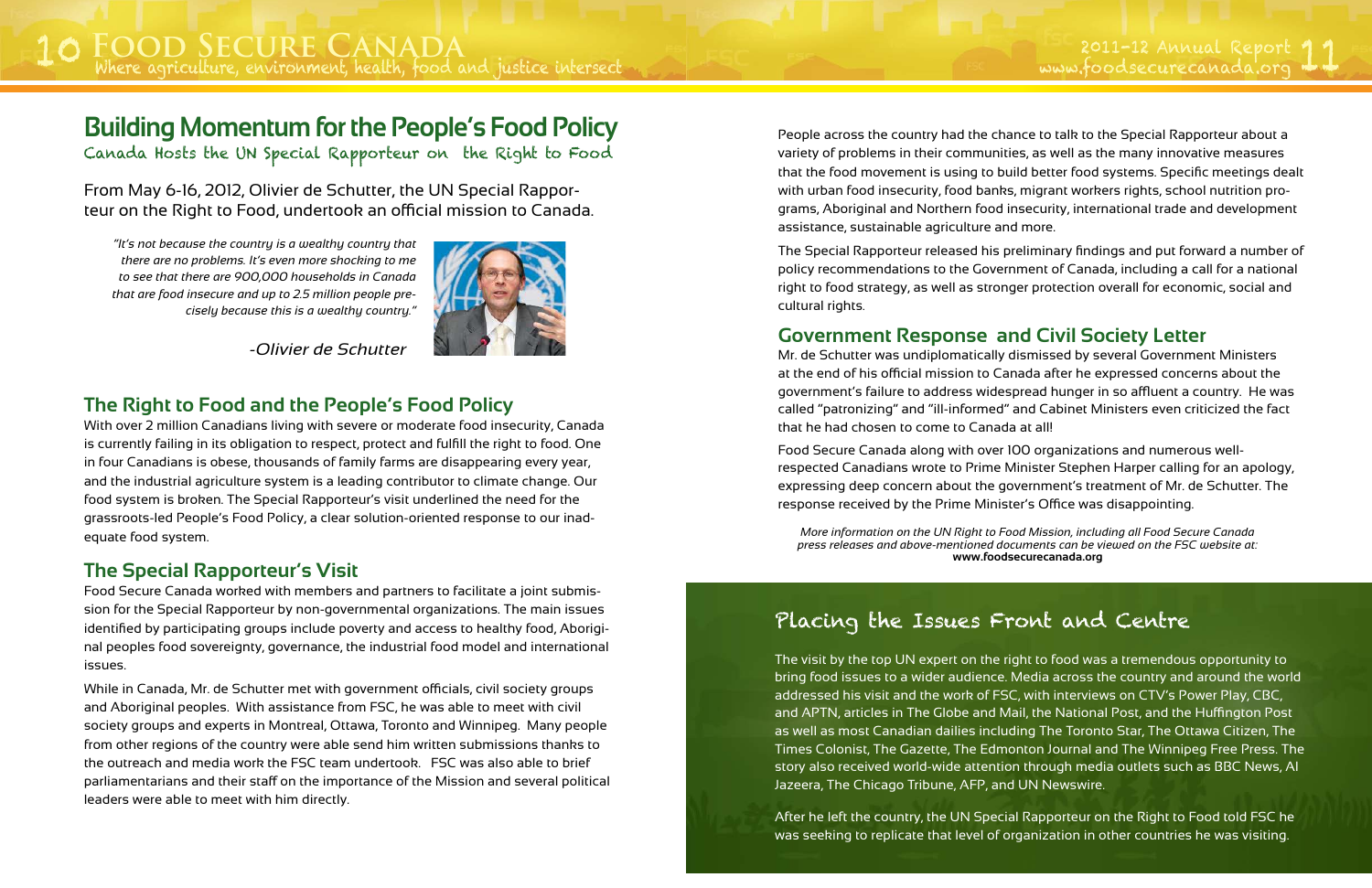#### **The Right to Food and the People's Food Policy**

With over 2 million Canadians living with severe or moderate food insecurity, Canada is currently failing in its obligation to respect, protect and fulfill the right to food. One in four Canadians is obese, thousands of family farms are disappearing every year, and the industrial agriculture system is a leading contributor to climate change. Our food system is broken. The Special Rapporteur's visit underlined the need for the grassroots-led People's Food Policy, a clear solution-oriented response to our inadequate food system.

#### **The Special Rapporteur's Visit**

Food Secure Canada worked with members and partners to facilitate a joint submission for the Special Rapporteur by non-governmental organizations. The main issues identified by participating groups include poverty and access to healthy food, Aboriginal peoples food sovereignty, governance, the industrial food model and international issues.

While in Canada, Mr. de Schutter met with government officials, civil society groups and Aboriginal peoples. With assistance from FSC, he was able to meet with civil society groups and experts in Montreal, Ottawa, Toronto and Winnipeg. Many people from other regions of the country were able send him written submissions thanks to the outreach and media work the FSC team undertook. FSC was also able to brief parliamentarians and their staff on the importance of the Mission and several political leaders were able to meet with him directly.

From May 6-16, 2012, Olivier de Schutter, the UN Special Rapporteur on the Right to Food, undertook an official mission to Canada.

*"It's not because the country is a wealthy country that there are no problems. It's even more shocking to me to see that there are 900,000 households in Canada that are food insecure and up to 2.5 million people precisely because this is a wealthy country."* 



*-Olivier de Schutter*

# **Building Momentum for the People's Food Policy**

Canada Hosts the UN Special Rapporteur on the Right to Food

People across the country had the chance to talk to the Special Rapporteur about a variety of problems in their communities, as well as the many innovative measures that the food movement is using to build better food systems. Specific meetings dealt with urban food insecurity, food banks, migrant workers rights, school nutrition programs, Aboriginal and Northern food insecurity, international trade and development assistance, sustainable agriculture and more.

The Special Rapporteur released his preliminary findings and put forward a number of policy recommendations to the Government of Canada, including a call for a national right to food strategy, as well as stronger protection overall for economic, social and cultural rights.

#### **Government Response and Civil Society Letter**

Mr. de Schutter was undiplomatically dismissed by several Government Ministers at the end of his official mission to Canada after he expressed concerns about the government's failure to address widespread hunger in so affluent a country. He was called "patronizing" and "ill-informed" and Cabinet Ministers even criticized the fact that he had chosen to come to Canada at all!

Food Secure Canada along with over 100 organizations and numerous wellrespected Canadians wrote to Prime Minister Stephen Harper calling for an apology, expressing deep concern about the government's treatment of Mr. de Schutter. The response received by the Prime Minister's Office was disappointing.

# Placing the Issues Front and Centre

*More information on the UN Right to Food Mission, including all Food Secure Canada press releases and above-mentioned documents can be viewed on the FSC website at:*  **www.foodsecurecanada.org**

The visit by the top UN expert on the right to food was a tremendous opportunity to bring food issues to a wider audience. Media across the country and around the world addressed his visit and the work of FSC, with interviews on CTV's Power Play, CBC, and APTN, articles in The Globe and Mail, the National Post, and the Huffington Post as well as most Canadian dailies including The Toronto Star, The Ottawa Citizen, The Times Colonist, The Gazette, The Edmonton Journal and The Winnipeg Free Press. The story also received world-wide attention through media outlets such as BBC News, Al Jazeera, The Chicago Tribune, AFP, and UN Newswire.

After he left the country, the UN Special Rapporteur on the Right to Food told FSC he was seeking to replicate that level of organization in other countries he was visiting.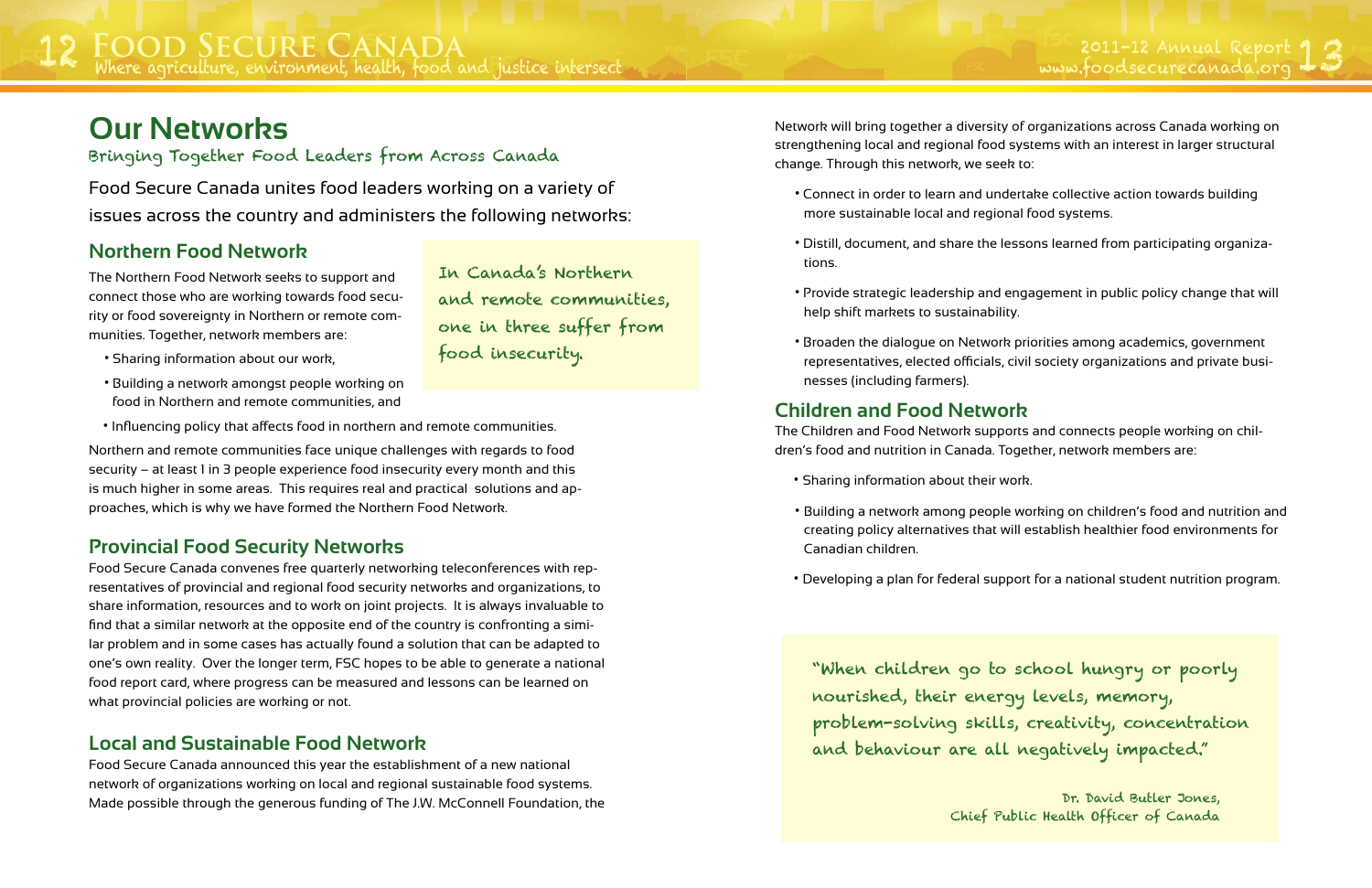# **Food Secure Canada**

#### **Northern Food Network**

The Northern Food Network seeks to support and connect those who are working towards food security or food sovereignty in Northern or remote communities. Together, network members are:

- Sharing information about our work,
- Building a network amongst people working on food in Northern and remote communities, and
- Influencing policy that affects food in northern and remote communities.

Northern and remote communities face unique challenges with regards to food security – at least 1 in 3 people experience food insecurity every month and this is much higher in some areas. This requires real and practical solutions and approaches, which is why we have formed the Northern Food Network.

#### **Provincial Food Security Networks**

Food Secure Canada convenes free quarterly networking teleconferences with representatives of provincial and regional food security networks and organizations, to share information, resources and to work on joint projects. It is always invaluable to find that a similar network at the opposite end of the country is confronting a similar problem and in some cases has actually found a solution that can be adapted to one's own reality. Over the longer term, FSC hopes to be able to generate a national food report card, where progress can be measured and lessons can be learned on what provincial policies are working or not.

#### **Local and Sustainable Food Network**

Food Secure Canada announced this year the establishment of a new national network of organizations working on local and regional sustainable food systems. Made possible through the generous funding of The J.W. McConnell Foundation, the

# **Our Networks**

#### Bringing Together Food Leaders from Across Canada

Food Secure Canada unites food leaders working on a variety of issues across the country and administers the following networks:

> In Canada's Northern and remote communities, one in three suffer from food insecurity.

Network will bring together a diversity of organizations across Canada working on strengthening local and regional food systems with an interest in larger structural change. Through this network, we seek to:

• Connect in order to learn and undertake collective action towards building

• Distill, document, and share the lessons learned from participating organiza-

• Provide strategic leadership and engagement in public policy change that will

- more sustainable local and regional food systems.
- tions.
- help shift markets to sustainability.
- nesses (including farmers).

• Broaden the dialogue on Network priorities among academics, government representatives, elected officials, civil society organizations and private busi-

#### **Children and Food Network**

The Children and Food Network supports and connects people working on children's food and nutrition in Canada. Together, network members are:

- Sharing information about their work.
- Canadian children.
- 

• Building a network among people working on children's food and nutrition and creating policy alternatives that will establish healthier food environments for

• Developing a plan for federal support for a national student nutrition program.

"When children go to school hungry or poorly nourished, their energy levels, memory, problem-solving skills, creativity, concentration and behaviour are all negatively impacted."

> Dr. David Butler Jones, Chief Public Health Officer of Canada

IX FOOD SECURE CANADA<br>Where agriculture, environment, health, food and justice intersect and the section of the summatic of the summatic Report 13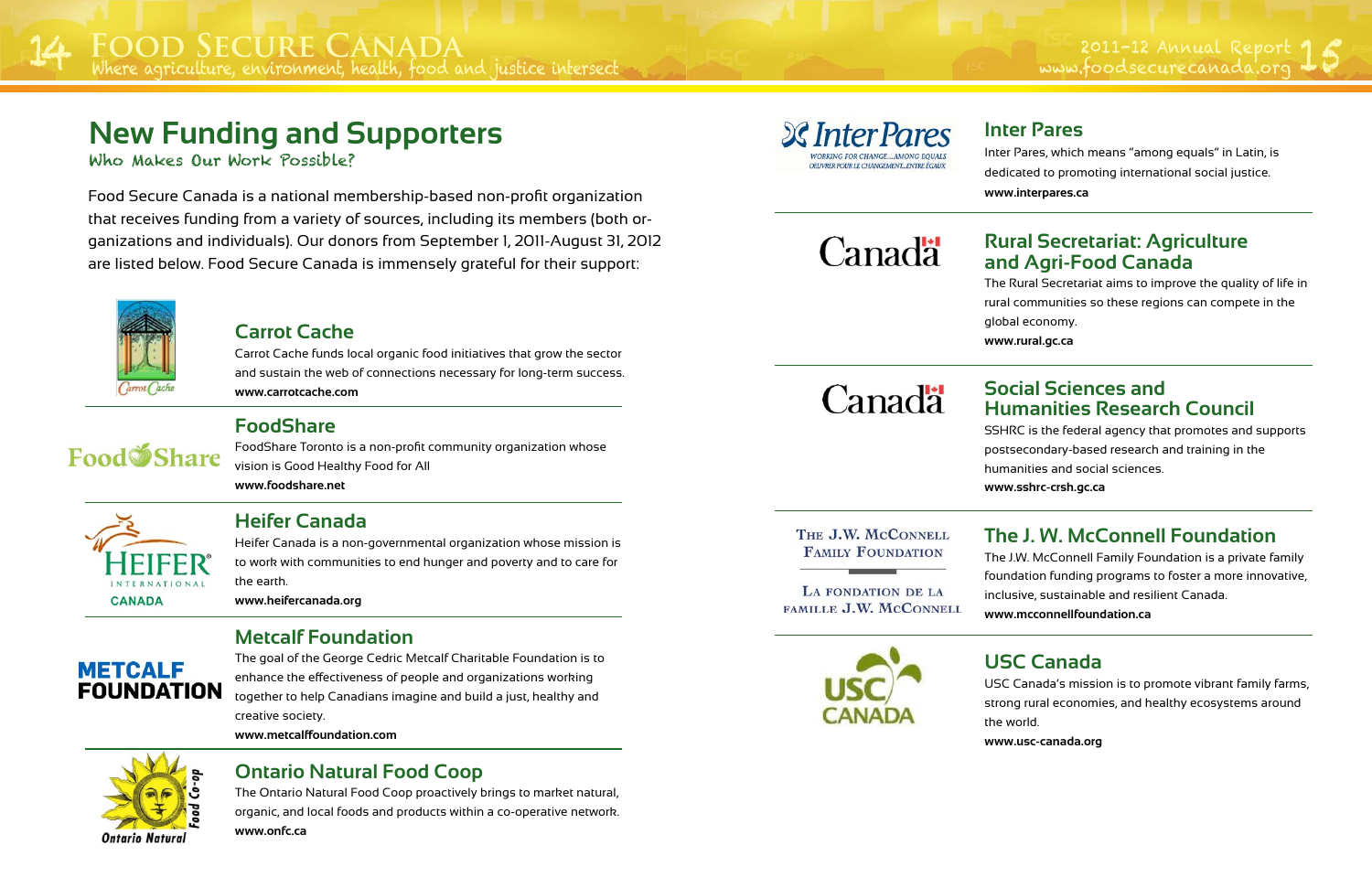#### **Carrot Cache**

Carrot Cache funds local organic food initiatives that grow the sector and sustain the web of connections necessary for long-term success. **www.carrotcache.com**



#### **FoodShare**

FoodShare Toronto is a non-profit community organization whose vision is Good Healthy Food for All **www.foodshare.net**



#### **Heifer Canada**

Heifer Canada is a non-governmental organization whose mission is to work with communities to end hunger and poverty and to care for the earth.

**www.heifercanada.org**

# **METCALF FOUNDATION**

#### **Metcalf Foundation**

The goal of the George Cedric Metcalf Charitable Foundation is to enhance the effectiveness of people and organizations working together to help Canadians imagine and build a just, healthy and creative society.

**www.metcalffoundation.com**

# Ontario Natural

#### **Ontario Natural Food Coop**

The Ontario Natural Food Coop proactively brings to market natural, organic, and local foods and products within a co-operative network.

**www.onfc.ca**

#### **Sc Inter Pares CORKING FOR CHANGE... AMONG FOUALS** OFUVRER POUR LE CHANGEMENT, ENTRE ÉGAUX

# **New Funding and Supporters**

Who Makes Our Work Possible?

Food Secure Canada is a national membership-based non-profit organization that receives funding from a variety of sources, including its members (both organizations and individuals). Our donors from September 1, 2011-August 31, 2012 are listed below. Food Secure Canada is immensely grateful for their support:



#### **Inter Pares**

Inter Pares, which means "among equals" in Latin, is dedicated to promoting international social justice. **www.interpares.ca**



# Canadä

#### **Rural Secretariat: Agriculture and Agri-Food Canada**

The Rural Secretariat aims to improve the quality of life in rural communities so these regions can compete in the global economy.

**www.rural.gc.ca**

#### **Social Sciences and Humanities Research Council**

SSHRC is the federal agency that promotes and supports postsecondary-based research and training in the humanities and social sciences. **www.sshrc-crsh.gc.ca**

THE J.W. MCCONNELL

**FAMILY FOUNDATION** 

LA FONDATION DE LA FAMILLE J.W. MCCONNELL



2011-12 Annual Report<br>www.foodsecurecanada.org

#### **The J. W. McConnell Foundation**

The J.W. McConnell Family Foundation is a private family foundation funding programs to foster a more innovative, inclusive, sustainable and resilient Canada.

**www.mcconnellfoundation.ca**

# **USC Canada**

USC Canada's mission is to promote vibrant family farms, strong rural economies, and healthy ecosystems around the world.

**www.usc-canada.org**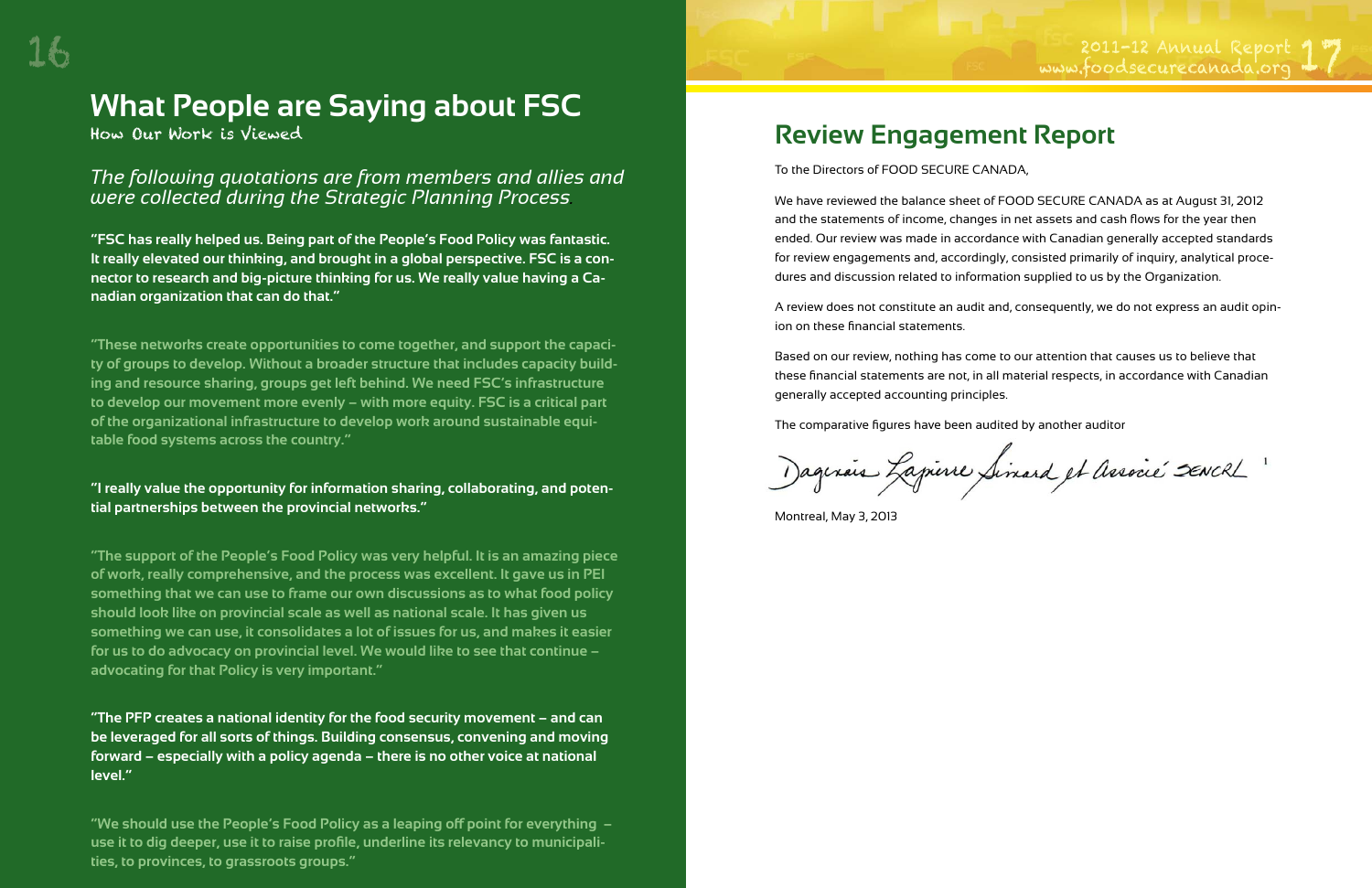**"FSC has really helped us. Being part of the People's Food Policy was fantastic. It really elevated our thinking, and brought in a global perspective. FSC is a connector to research and big-picture thinking for us. We really value having a Canadian organization that can do that."**

**"These networks create opportunities to come together, and support the capacity of groups to develop. Without a broader structure that includes capacity building and resource sharing, groups get left behind. We need FSC's infrastructure to develop our movement more evenly – with more equity. FSC is a critical part of the organizational infrastructure to develop work around sustainable equitable food systems across the country."**

#### **"I really value the opportunity for information sharing, collaborating, and potential partnerships between the provincial networks."**

**"The support of the People's Food Policy was very helpful. It is an amazing piece of work, really comprehensive, and the process was excellent. It gave us in PEI something that we can use to frame our own discussions as to what food policy should look like on provincial scale as well as national scale. It has given us something we can use, it consolidates a lot of issues for us, and makes it easier for us to do advocacy on provincial level. We would like to see that continue – advocating for that Policy is very important."**

Dagerais Lapierre Simard et Associé SENCRL .

**"The PFP creates a national identity for the food security movement – and can be leveraged for all sorts of things. Building consensus, convening and moving forward – especially with a policy agenda – there is no other voice at national level."**

**"We should use the People's Food Policy as a leaping off point for everything – use it to dig deeper, use it to raise profile, underline its relevancy to municipalities, to provinces, to grassroots groups."** 

# **What People are Saying about FSC**

How Our Work is Viewed

#### *The following quotations are from members and allies and were collected during the Strategic Planning Process.*

# **Review Engagement Report**

To the Directors of FOOD SECURE CANADA,

We have reviewed the balance sheet of FOOD SECURE CANADA as at August 31, 2012 and the statements of income, changes in net assets and cash flows for the year then ended. Our review was made in accordance with Canadian generally accepted standards for review engagements and, accordingly, consisted primarily of inquiry, analytical procedures and discussion related to information supplied to us by the Organization.

A review does not constitute an audit and, consequently, we do not express an audit opinion on these financial statements.

Based on our review, nothing has come to our attention that causes us to believe that these financial statements are not, in all material respects, in accordance with Canadian generally accepted accounting principles.

The comparative figures have been audited by another auditor

Montreal, May 3, 2013

2011-12 Annual Report "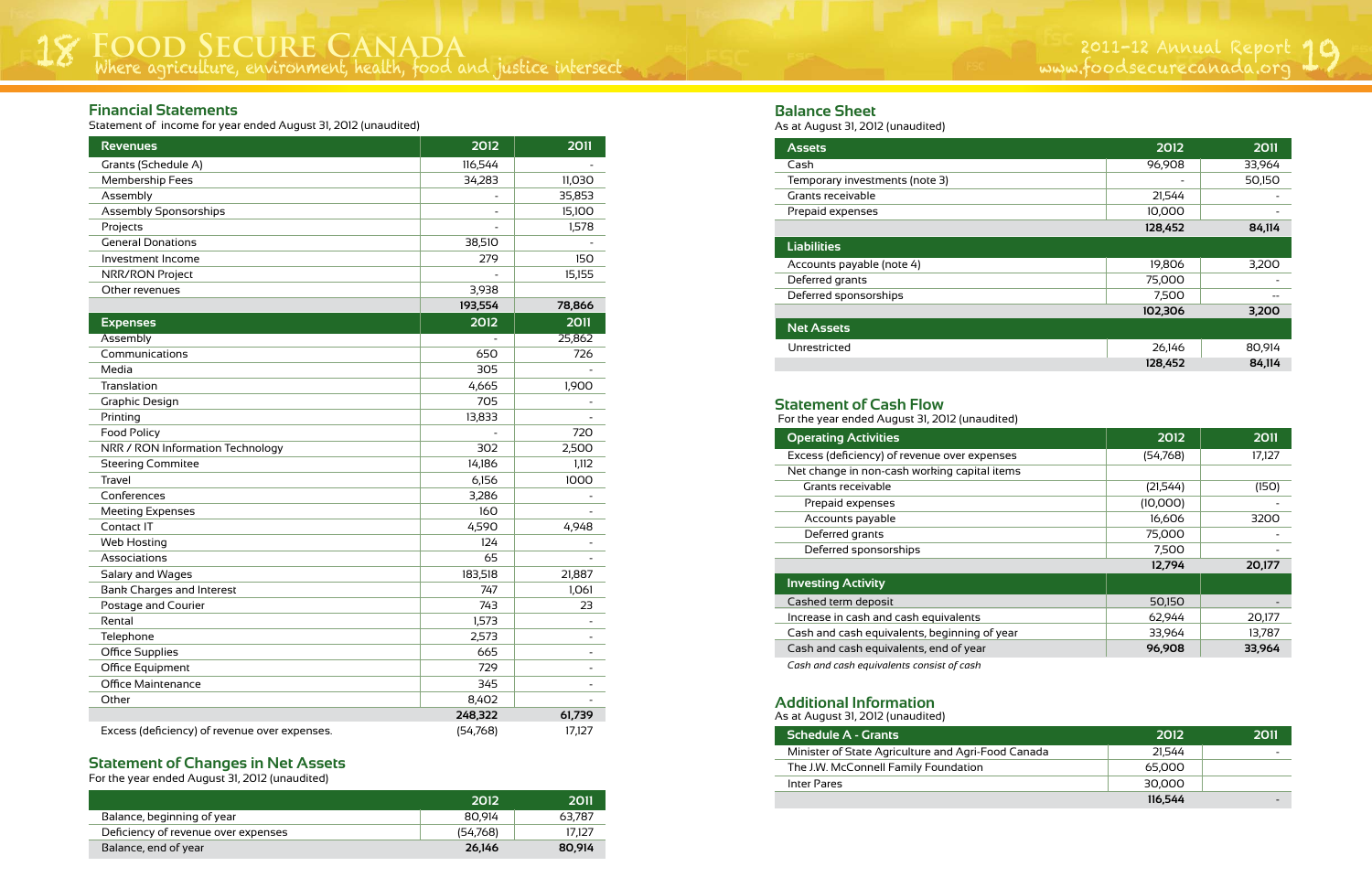Where agriculture, environment, health, food and justice intersect 2011-12 Annual Report 18 www.foodsecurecanada.org 19

|                                     | 2012     | 2011   |
|-------------------------------------|----------|--------|
| Balance, beginning of year          | 80.914   | 63.787 |
| Deficiency of revenue over expenses | (54,768) | 17.127 |
| Balance, end of year                | 26.146   | 80.914 |

#### **Statement of Changes in Net Assets**

For the year ended August 31, 2012 (unaudited)

#### **Financial Statements**

Statement of income for year ended August 31, 2012 (unaudited)

| <b>Revenues</b>                               | 2012     | <b>2011</b> |
|-----------------------------------------------|----------|-------------|
| Grants (Schedule A)                           | 116,544  |             |
| Membership Fees                               | 34,283   | 11,030      |
| Assembly                                      |          | 35,853      |
| <b>Assembly Sponsorships</b>                  |          | 15,100      |
| Projects                                      |          | 1,578       |
| <b>General Donations</b>                      | 38,510   |             |
| Investment Income                             | 279      | 150         |
| NRR/RON Project                               |          | 15,155      |
| Other revenues                                | 3,938    |             |
|                                               | 193,554  | 78,866      |
| <b>Expenses</b>                               | 2012     | 2011        |
| Assembly                                      |          | 25,862      |
| Communications                                | 650      | 726         |
| Media                                         | 305      |             |
| Translation                                   | 4,665    | 1,900       |
| Graphic Design                                | 705      |             |
| Printing                                      | 13,833   |             |
| <b>Food Policy</b>                            |          | 720         |
| NRR / RON Information Technology              | 302      | 2,500       |
| <b>Steering Commitee</b>                      | 14,186   | 1,112       |
| <b>Travel</b>                                 | 6,156    | 1000        |
| Conferences                                   | 3,286    |             |
| <b>Meeting Expenses</b>                       | 160      |             |
| Contact IT                                    | 4,590    | 4,948       |
| <b>Web Hosting</b>                            | 124      |             |
| Associations                                  | 65       |             |
| Salary and Wages                              | 183,518  | 21,887      |
| <b>Bank Charges and Interest</b>              | 747      | 1,061       |
| Postage and Courier                           | 743      | 23          |
| Rental                                        | 1,573    |             |
| Telephone                                     | 2,573    |             |
| <b>Office Supplies</b>                        | 665      |             |
| Office Equipment                              | 729      |             |
| <b>Office Maintenance</b>                     | 345      |             |
| Other                                         | 8,402    |             |
|                                               | 248,322  | 61,739      |
| Excess (deficiency) of revenue over expenses. | (54,768) | 17,127      |

| 15 a. 7 1agast 31, ∠o i∠ (aniaaoiteo) |
|---------------------------------------|
| <b>Assets</b>                         |
| Cash                                  |
| Temporary investments (note 3)        |
| Grants receivable                     |
| Prepaid expenses                      |
|                                       |
| Liabilities                           |
| Accounts payable (note 4)             |
| Deferred grants                       |
|                                       |

|        | 2012    | 2011 |
|--------|---------|------|
| Canada | 21,544  |      |
|        | 65,000  |      |
|        | 30,000  |      |
|        | 116,544 |      |

#### **Schedule A - Grants 2012 2011**

Minister of State Agriculture and Agri-Food

The J.W. McConnell Family Foundation

Inter Pares

As at August 31, 2012 (unaudited)

#### **Additional Information**

| <b>Assets</b>                  | 2012    | 2011   |
|--------------------------------|---------|--------|
| Cash                           | 96,908  | 33,964 |
| Temporary investments (note 3) |         | 50,150 |
| Grants receivable              | 21,544  |        |
| Prepaid expenses               | 10,000  |        |
|                                | 128,452 | 84,114 |
| <b>Liabilities</b>             |         |        |
| Accounts payable (note 4)      | 19,806  | 3,200  |
| Deferred grants                | 75,000  |        |
| Deferred sponsorships          | 7,500   |        |
|                                | 102,306 | 3,200  |
| <b>Net Assets</b>              |         |        |
| Unrestricted                   | 26,146  | 80,914 |
|                                | 128,452 | 84,114 |

| <b>Operating Activities</b>                  | 2012     | 2011   |
|----------------------------------------------|----------|--------|
| Excess (deficiency) of revenue over expenses | (54,768) | 17,127 |
| Net change in non-cash working capital items |          |        |
| Grants receivable                            | (21,544) | (150)  |
| Prepaid expenses                             | (10,000) |        |
| Accounts payable                             | 16,606   | 3200   |
| Deferred grants                              | 75,000   |        |
| Deferred sponsorships                        | 7,500    |        |
|                                              | 12,794   | 20,177 |
| <b>Investing Activity</b>                    |          |        |
| Cashed term deposit                          | 50,150   |        |
| Increase in cash and cash equivalents        | 62,944   | 20,177 |
| Cash and cash equivalents, beginning of year | 33,964   | 13,787 |
| Cash and cash equivalents, end of year       | 96,908   | 33,964 |

For the year ended August 31, 2012 (unaudited)

- 
- 
- 

#### **Statement of Cash Flow**

*Cash and cash equivalents consist of cash*

As at August 31, 2012 (unaudited)

#### **Balance Sheet**

#### **Net Assets**

Unrestricted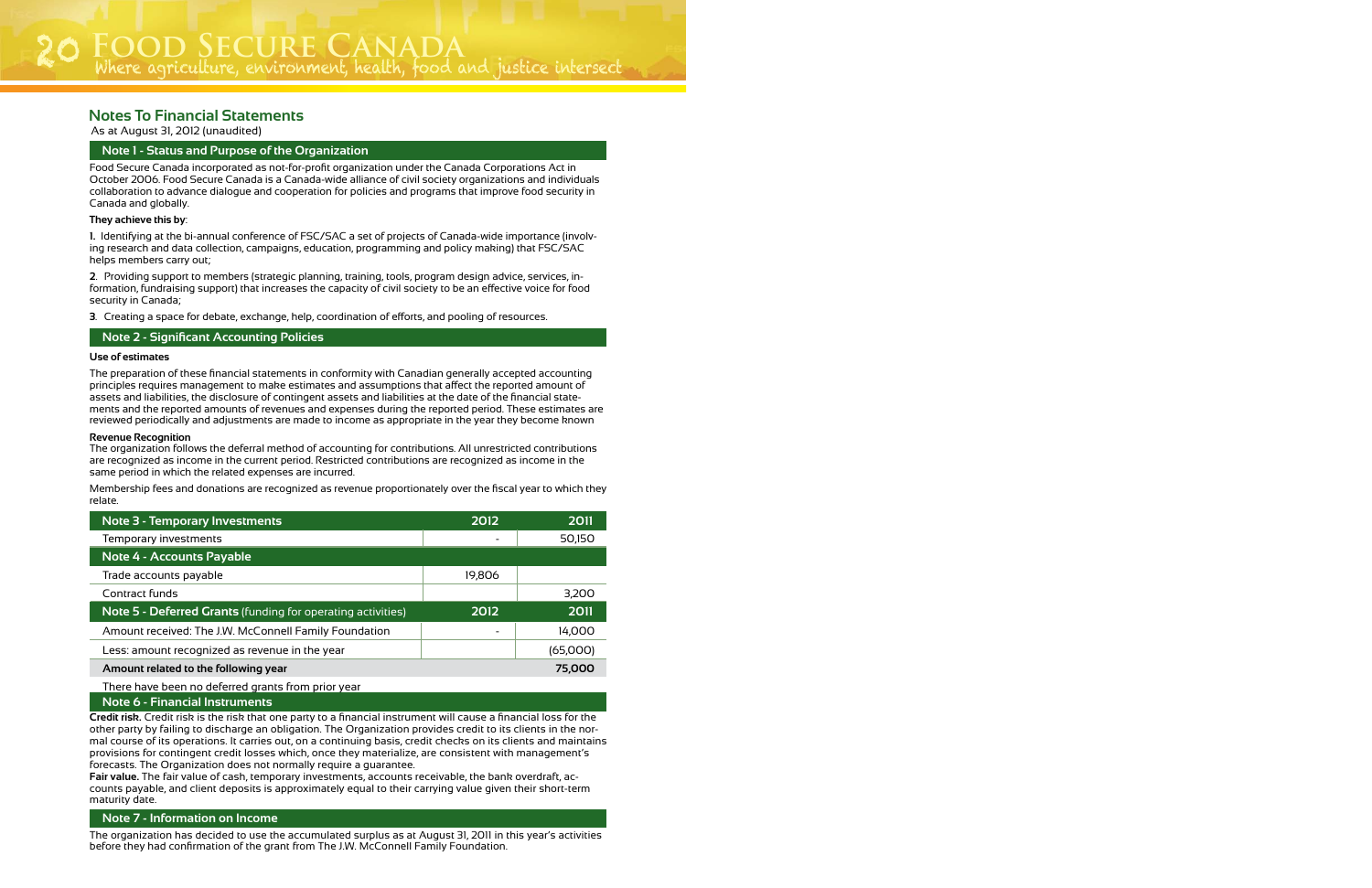As at August 31, 2012 (unaudited)

#### **Notes To Financial Statements**

| <b>Note 3 - Temporary Investments</b>                       | 2012                     | 2011     |
|-------------------------------------------------------------|--------------------------|----------|
| Temporary investments                                       | $\overline{\phantom{a}}$ | 50,150   |
| Note 4 - Accounts Payable                                   |                          |          |
| Trade accounts payable                                      | 19,806                   |          |
| Contract funds                                              |                          | 3,200    |
|                                                             |                          |          |
| Note 5 - Deferred Grants (funding for operating activities) | 2012                     | 2011     |
| Amount received: The J.W. McConnell Family Foundation       | -                        | 14,000   |
| Less: amount recognized as revenue in the year              |                          | (65,000) |
| Amount related to the following year                        |                          | 75,000   |

Food Secure Canada incorporated as not-for-profit organization under the Canada Corporations Act in October 2006. Food Secure Canada is a Canada-wide alliance of civil society organizations and individuals collaboration to advance dialogue and cooperation for policies and programs that improve food security in Canada and globally.

#### **They achieve this by**:

**1.** Identifying at the bi-annual conference of FSC/SAC a set of projects of Canada-wide importance (involving research and data collection, campaigns, education, programming and policy making) that FSC/SAC helps members carry out;

**2**. Providing support to members (strategic planning, training, tools, program design advice, services, information, fundraising support) that increases the capacity of civil society to be an effective voice for food security in Canada;

**3**. Creating a space for debate, exchange, help, coordination of efforts, and pooling of resources.

#### **Use of estimates**

The preparation of these financial statements in conformity with Canadian generally accepted accounting principles requires management to make estimates and assumptions that affect the reported amount of assets and liabilities, the disclosure of contingent assets and liabilities at the date of the financial statements and the reported amounts of revenues and expenses during the reported period. These estimates are reviewed periodically and adjustments are made to income as appropriate in the year they become known

#### **Revenue Recognition**

The organization follows the deferral method of accounting for contributions. All unrestricted contributions are recognized as income in the current period. Restricted contributions are recognized as income in the same period in which the related expenses are incurred.

Membership fees and donations are recognized as revenue proportionately over the fiscal year to which they relate.

#### **Note 2 - Significant Accounting Policies**

#### **Note 1 - Status and Purpose of the Organization**

**Note 6 - Financial Instruments**

**Credit risk.** Credit risk is the risk that one party to a financial instrument will cause a financial loss for the other party by failing to discharge an obligation. The Organization provides credit to its clients in the normal course of its operations. It carries out, on a continuing basis, credit checks on its clients and maintains provisions for contingent credit losses which, once they materialize, are consistent with management's forecasts. The Organization does not normally require a guarantee.

**Fair value.** The fair value of cash, temporary investments, accounts receivable, the bank overdraft, accounts payable, and client deposits is approximately equal to their carrying value given their short-term maturity date.

The organization has decided to use the accumulated surplus as at August 31, 2011 in this year's activities before they had confirmation of the grant from The J.W. McConnell Family Foundation.

#### **Note 7 - Information on Income**